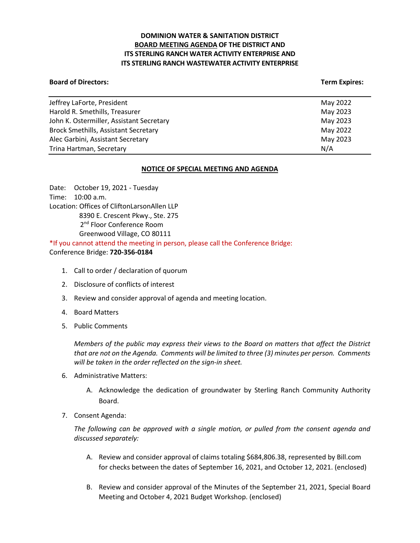# **DOMINION WATER & SANITATION DISTRICT BOARD MEETING AGENDA OF THE DISTRICT AND ITS STERLING RANCH WATER ACTIVITY ENTERPRISE AND ITS STERLING RANCH WASTEWATER ACTIVITY ENTERPRISE**

## **Board of Directors:** Term Expires: Term Expires: Term Expires: Term Expires: Term Expires: Term Expires: Term Expires: Term Expires: Term Expires: Term Expires: Term Expires: Term Expires: Term Expires: Term Expires: Term

| Jeffrey LaForte, President                  | May 2022 |
|---------------------------------------------|----------|
| Harold R. Smethills, Treasurer              | May 2023 |
| John K. Ostermiller, Assistant Secretary    | May 2023 |
| <b>Brock Smethills, Assistant Secretary</b> | May 2022 |
| Alec Garbini, Assistant Secretary           | May 2023 |
| Trina Hartman, Secretary                    | N/A      |

# **NOTICE OF SPECIAL MEETING AND AGENDA**

Date: October 19, 2021 - Tuesday Time: 10:00 a.m. Location: Offices of CliftonLarsonAllen LLP 8390 E. Crescent Pkwy., Ste. 275 2<sup>nd</sup> Floor Conference Room Greenwood Village, CO 80111 \*If you cannot attend the meeting in person, please call the Conference Bridge:

Conference Bridge: **720-356-0184**

- 1. Call to order / declaration of quorum
- 2. Disclosure of conflicts of interest
- 3. Review and consider approval of agenda and meeting location.
- 4. Board Matters
- 5. Public Comments

*Members of the public may express their views to the Board on matters that affect the District that are not on the Agenda. Comments will be limited to three (3) minutes per person. Comments will be taken in the order reflected on the sign-in sheet.* 

- 6. Administrative Matters:
	- A. Acknowledge the dedication of groundwater by Sterling Ranch Community Authority Board.
- 7. Consent Agenda:

*The following can be approved with a single motion, or pulled from the consent agenda and discussed separately:*

- A. Review and consider approval of claims totaling \$684,806.38, represented by Bill.com for checks between the dates of September 16, 2021, and October 12, 2021. (enclosed)
- B. Review and consider approval of the Minutes of the September 21, 2021, Special Board Meeting and October 4, 2021 Budget Workshop. (enclosed)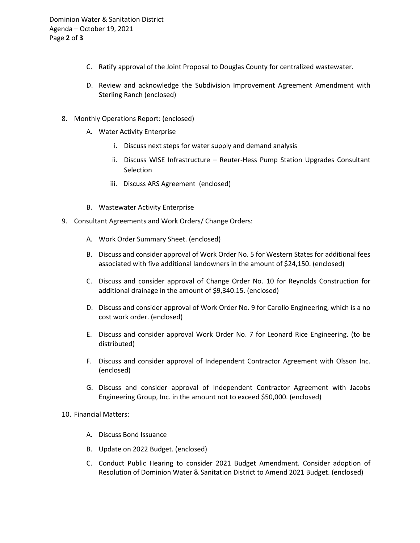- C. Ratify approval of the Joint Proposal to Douglas County for centralized wastewater.
- D. Review and acknowledge the Subdivision Improvement Agreement Amendment with Sterling Ranch (enclosed)
- 8. Monthly Operations Report: (enclosed)
	- A. Water Activity Enterprise
		- i. Discuss next steps for water supply and demand analysis
		- ii. Discuss WISE Infrastructure Reuter-Hess Pump Station Upgrades Consultant Selection
		- iii. Discuss ARS Agreement (enclosed)
	- B. Wastewater Activity Enterprise
- 9. Consultant Agreements and Work Orders/ Change Orders:
	- A. Work Order Summary Sheet. (enclosed)
	- B. Discuss and consider approval of Work Order No. 5 for Western States for additional fees associated with five additional landowners in the amount of \$24,150. (enclosed)
	- C. Discuss and consider approval of Change Order No. 10 for Reynolds Construction for additional drainage in the amount of \$9,340.15. (enclosed)
	- D. Discuss and consider approval of Work Order No. 9 for Carollo Engineering, which is a no cost work order. (enclosed)
	- E. Discuss and consider approval Work Order No. 7 for Leonard Rice Engineering. (to be distributed)
	- F. Discuss and consider approval of Independent Contractor Agreement with Olsson Inc. (enclosed)
	- G. Discuss and consider approval of Independent Contractor Agreement with Jacobs Engineering Group, Inc. in the amount not to exceed \$50,000. (enclosed)

10. Financial Matters:

- A. Discuss Bond Issuance
- B. Update on 2022 Budget. (enclosed)
- C. Conduct Public Hearing to consider 2021 Budget Amendment. Consider adoption of Resolution of Dominion Water & Sanitation District to Amend 2021 Budget. (enclosed)